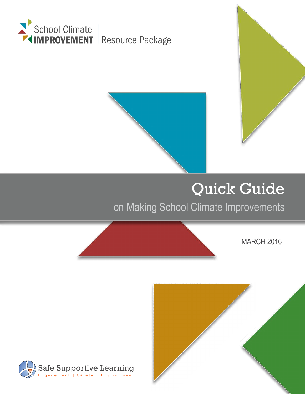





on Making School Climate Improvements

MARCH 2016



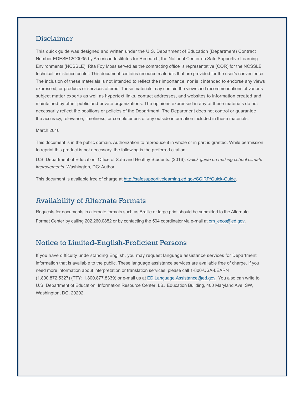### Disclaimer

This quick guide was designed and written under the U.S. Department of Education (Department) Contract Number EDESE12O0035 by American Institutes for Research, the National Center on Safe Supportive Learning Environments (NCSSLE). Rita Foy Moss served as the contracting office 's representative (COR) for the NCSSLE technical assistance center. This document contains resource materials that are provided for the user's convenience. The inclusion of these materials is not intended to reflect the r importance, nor is it intended to endorse any views expressed, or products or services offered. These materials may contain the views and recommendations of various subject matter experts as well as hypertext links, contact addresses, and websites to information created and maintained by other public and private organizations. The opinions expressed in any of these materials do not necessarily reflect the positions or policies of the Department The Department does not control or guarantee the accuracy, relevance, timeliness, or completeness of any outside information included in these materials.

#### March 2016

This document is in the public domain. Authorization to reproduce it in whole or in part is granted. While permission to reprint this product is not necessary, the following is the preferred citation:

U.S. Department of Education, Office of Safe and Healthy Students. (2016). *Quick guide on making school climate improvements.* Washington, DC: Author.

This document is available free of charge at [http://safesupportivelearning.ed.gov/SCIRP/Quick-Guide.](http://safesupportivelearning.ed.gov/SCIRP/Quick-Guide)

### Availability of Alternate Formats

Requests for documents in alternate formats such as Braille or large print should be submitted to the Alternate Format Center by calling 202.260.0852 or by contacting the 504 coordinator via e-mail at [om\\_eeos@ed.gov](mailto:om_eeos@ed.gov).

### Notice to Limited-English-Proficient Persons

If you have difficulty unde standing English, you may request language assistance services for Department information that is available to the public. These language assistance services are available free of charge. If you need more information about interpretation or translation services, please call 1-800-USA-LEARN (1.800.872.5327) (TTY: 1.800.877.8339) or e-mail us at [ED.Language.Assistance@ed.gov.](mailto:ED.Language.Assistance@ed.gov) You also can write to U.S. Department of Education, Information Resource Center, LBJ Education Building, 400 Maryland Ave. SW, Washington, DC, 20202.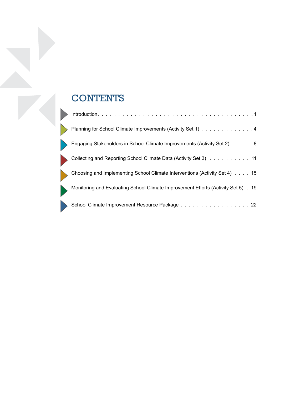# **CONTENTS**

 $\overline{\phantom{a}}$ 

|                             | Planning for School Climate Improvements (Activity Set 1) 4                        |
|-----------------------------|------------------------------------------------------------------------------------|
| $\rightarrow$               | Engaging Stakeholders in School Climate Improvements (Activity Set 2) 8            |
| $\mathcal{L}_{\mathcal{A}}$ | Collecting and Reporting School Climate Data (Activity Set 3) 11                   |
|                             | Choosing and Implementing School Climate Interventions (Activity Set 4) 15         |
|                             | Monitoring and Evaluating School Climate Improvement Efforts (Activity Set 5) . 19 |
|                             | School Climate Improvement Resource Package 22                                     |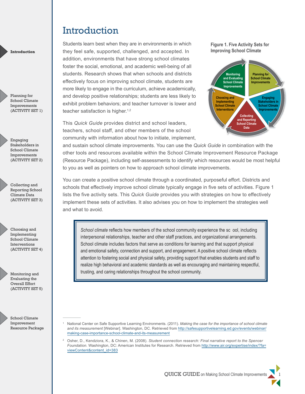Students learn best when they are in environments in which they feel safe, supported, challenged, and accepted. In addition, environments that have strong school climates foster the social, emotional, and academic well-being of all students. Research shows that when schools and districts effectively focus on improving school climate, students are more likely to engage in the curriculum, achieve academically, and develop positive relationships; students are less likely to exhibit problem behaviors; and teacher turnover is lower and teacher satisfaction is higher.<sup>1,2</sup>

This *Quick Guide* provides district and school leaders, teachers, school staff, and other members of the school community with information about how to initiate, implement, **Figure 1. Five Activity Sets for Improving School Climate**



and sustain school climate improvements. You can use the *Quick Guide* in combination with the other tools and resources available within the School Climate Improvement Resource Package (Resource Package), including self-assessments to identify which resources would be most helpful to you as well as pointers on how to approach school climate improvements.

You can create a positive school climate through a coordinated, purposeful effort. Districts and schools that effectively improve school climate typically engage in five sets of activities. Figure 1 lists the five activity sets. This *Quick Guide* provides you with strategies on how to effectively implement these sets of activities. It also advises you on how to implement the strategies well and what to avoid.

*School climate* reflects how members of the school community experience the sc ool, including interpersonal relationships, teacher and other staff practices, and organizational arrangements. School climate includes factors that serve as conditions for learning and that support physical and emotional safety, connection and support, and engagement. A positive school climate reflects attention to fostering social and physical safety, providing support that enables students and staff to realize high behavioral and academic standards as well as encouraging and maintaining respectful, trusting, and caring relationships throughout the school community.

School Climate Improvement Resource Package

<span id="page-3-0"></span>**Introduction**

Planning for School Climate Improvements (ACTIVITY SET 1)

Engaging Stakeholders in School Climate Improvements (ACTIVITY SET 2)

Collecting and Reporting School Climate Data (ACTIVITY SET 3)

Choosing and Implementing School Climate Interventions (ACTIVITY SET 4)

Monitoring and Evaluating the Overall Effort (ACTIVITY SET 5)

- 1 National Center on Safe Supportive Learning Environments. (2011). *Making the case for the importance of school climate and its measurement* [Webinar]. Washington, DC. Retrieved from [http://safesupportivelearning.ed.gov/events/webinar/](http://safesupportivelearning.ed.gov/events/webinar/making-case-importance-school-climate-and-its-measurement) [making-case-importance-school-climate-and-its-measurement](http://safesupportivelearning.ed.gov/events/webinar/making-case-importance-school-climate-and-its-measurement)
- 2 Osher, D., Kendziora, K., & Chinen, M. (2008). *Student connection research: Final narrative report to the Spencer Foundation.* Washington, DC: American Institutes for Research. Retrieved from [http://www.air.org/expertise/index/?fa=](http://www.air.org/expertise/index/?fa=viewContent&content_id=383) [viewContent&content\\_id=383](http://www.air.org/expertise/index/?fa=viewContent&content_id=383)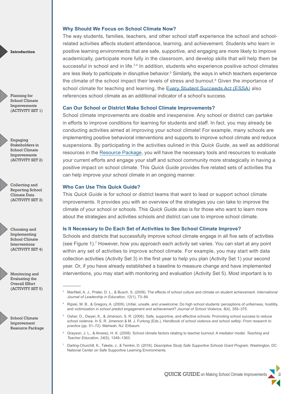#### **Why Should We Focus on School Climate Now?**

The way students, families, teachers, and other school staff experience the school and schoolrelated activities affects student attendance, learning, and achievement. Students who learn in positive learning environments that are safe, supportive, and engaging are more likely to improve academically, participate more fully in the classroom, and develop skills that will help them be successful in school and in life.<sup>3,4</sup> In addition, students who experience positive school climates are less likely to participate in disruptive behavior.<sup>5</sup> Similarly, the ways in which teachers experience the climate of the school impact their levels of stress and burnout.<sup>6</sup> Given the importance of school climate for teaching and learning, the [Every Student Succeeds](http://www.ed.gov/essa?src=policy) Act (ESSA) also references school climate as an additional indicator of a school's success.

#### **Can Our School or District Make School Climate Improvements?**

School climate improvements are doable and inexpensive. Any school or district can partake in efforts to improve conditions for learning for students and staff. In fact, you may already be conducting activities aimed at improving your school climate! For example, many schools are implementing positive behavioral interventions and supports to improve school climate and reduce suspensions. By participating in the activities oulined in this *Quick Guide*, as well as additional resources in the [Resource Package](https://safesupportivelearning.ed.gov/SCIRP/About), you will have the necessary tools and resources to evaluate your current efforts and engage your staff and school community more strategically in having a positive impact on school climate. This *Quick Guide* provides five related sets of activities tha can help improve your school climate in an ongoing manner.

#### **Who Can Use This Quick Guide?**

This *Quick Guide* is for school or district teams that want to lead or support school climate improvements. It provides you with an overview of the strategies you can take to improve the climate of your school or schools. This *Quick Guide* also is for those who want to learn more about the strategies and activities schools and district can use to improve school climate.

#### **Is It Necessary to Do Each Set of Activities to See School Climate Improve?**

Schools and districts that successfully improve school climate engage in all five sets of activities (see Figure 1).7 However, how you approach each activity set varies. You can start at any point within any set of activities to improve school climate. For example, you may start with data collection activities (Activity Set 3) in the first year to help you plan (Activity Set 1) your second year. Or, if you have already established a baseline to measure change and have implemented interventions, you may start with monitoring and evaluation (Activity Set 5). Most important is to

- 3 MacNeil, A. J., Prater, D. L., & Busch, S. (2009). The effects of school culture and climate on student achievement. *International Journal of Leadership in Education, 12*(1), 73–84.
- 4 Ripski, M. B., & Gregory, A. (2009). Unfair, unsafe, and unwelcome: Do high school students' perceptions of unfairness, hostility, and victimization in school predict engagement and achievement? *Journal of School Violence, 8*(4), 355–375.
- 5 Osher, D., Dwyer, K., & Jimerson, S. R. (2006). Safe, supportive, and effective schools: Promoting school success to reduce school violence. In S. R. Jimerson & M. J. Furlong (Eds.), *Handbook of school violence and school safety: From research to practice* (pp. 51–72). Mahwah, NJ: Erlbaum.
- 6 Grayson, J. L., & Alvarez, H. K. (2008). School climate factors relating to teacher burnout: A mediator model. *Teaching and Teacher Education, 24*(5), 1349–1363.
- <sup>7</sup> Darling-Churchill, K., Taketa, J., & Temkin, D. (2016). *Descriptive Study Safe Supportive Schools Grant Program.* Washington, DC: National Center on Safe Supportive Learning Environments.

**Introduction**

Planning for School Climate Improvements (ACTIVITY SET 1)

Engaging Stakeholders in School Climate Improvements (ACTIVITY SET 2)

Collecting and Reporting School Climate Data (ACTIVITY SET 3)

Choosing and Implementing School Climate Interventions (ACTIVITY SET 4)

Monitoring and Evaluating the Overall Effort (ACTIVITY SET 5)

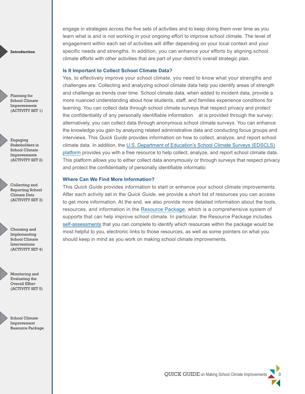Planning for School Climate Improvements (ACTIVITY SET 1)

Engaging Stakeholders in School Climate Improvements (ACTIVITY SET 2)

Collecting and Reporting School Climate Data (ACTIVITY SET 3)

Choosing and Implementing School Climate Interventions (ACTIVITY SET 4)

Monitoring and Evaluating the Overall Effort (ACTIVITY SET 5)

School Climate Improvement Resource Package

engage in strategies across the five sets of activities and to keep doing them over time as you learn what is and is not working in your ongoing effort to improve school climate. The level of engagement within each set of activities will differ depending on your local context and your specific needs and strengths. In addition, you can enhance your efforts by aligning school climate efforts with other activities that are part of your district's overall strategic plan.

#### **Is It Important to Collect School Climate Data?**

Yes, to effectively improve your school climate, you need to know what your strengths and challenges are. Collecting and analyzing school climate data help you identify areas of strength and challenge as trends over time. School climate data, when added to incident data, provide a more nuanced understanding about how students, staff, and families experience conditions for learning. You can collect data through school climate surveys that respect privacy and protect the confidentiality of any personally identifiable information at is provided through the survey; alternatively, you can collect data through anonymous school climate surveys. You can enhance the knowledge you gain by analyzing related administrative data and conducting focus groups and interviews. This *Quick Guide* provides information on how to collect, analyze, and report school climate data. In addition, the [U.S. Department of Education's School Climate Surveys \(EDSCLS\)](https://safesupportivelearning.ed.gov/edscls) [platform](https://safesupportivelearning.ed.gov/edscls) provides you with a free resource to help collect, analyze, and report school climate data. This platform allows you to either collect data anonymously or through surveys that respect privacy and protect the confidentiality of personally identifiable informatio

#### **Where Can We Find More Information?**

This *Quick Guide* provides information to start or enhance your school climate improvements. After each activity set in the *Quick Guide*, we provide a short list of resources you can access to get more information. At the end, we also provide more detailed information about the tools, resources, and information in the [Resource Package](https://safesupportivelearning.ed.gov/SCIRP/About), which is a comprehensive system of supports that can help improve school climate. In particular, the Resource Package includes [self-assessments](https://safesupportivelearning.ed.gov/SCIRP/Assessments) that you can complete to identify which resources within the package would be most helpful to you, electronic links to those resources, as well as some pointers on what you should keep in mind as you work on making school climate improvements.

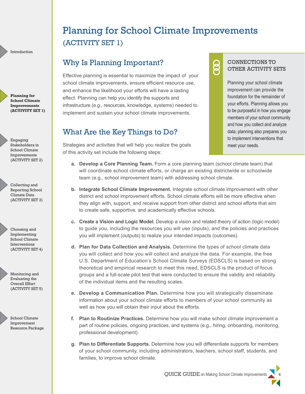**Planning for School Climate Improvements (ACTIVITY SET 1)**

Engaging Stakeholders in School Climate Improvements (ACTIVITY SET 2)

Collecting and Reporting School Climate Data (ACTIVITY SET 3)

Choosing and Implementing School Climate Interventions (ACTIVITY SET 4)

Monitoring and Evaluating the Overall Effort (ACTIVITY SET 5)

> School Climate Improvement Resource Package

# <span id="page-6-0"></span>Planning for School Climate Improvements (ACTIVITY SET 1)

### Why Is Planning Important?

Effective planning is essential to maximize the impact of your school climate improvements, ensure efficient resource use, and enhance the likelihood your efforts will have a lasting effect. Planning can help you identify the supports and infrastructure (e.g., resources, knowledge, systems) needed to implement and sustain your school climate improvements.

### What Are the Key Things to Do?

### CONNECTIONS TO OTHER ACTIVITY SETS

Planning your school climate improvement can provide the foundation for the remainder of your efforts. Planning allows you to be purposeful in how you engage members of your school community and how you collect and analyze data; planning also prepares you to implement interventions that meet your needs.

- Strategies and activities that will help you realize the goals of this activity set include the following steps:
	- **a. Develop a Core Planning Team.** Form a core planning team (school climate team) that will coordinate school climate efforts, or charge an existing districtwide or schoolwide team (e.g., school improvement team) with addressing school climate.
	- **b. Integrate School Climate Improvement.** Integrate school climate improvement with other district and school improvement efforts. School climate efforts will be more effective when they align with, support, and receive support from other district and school efforts that aim to create safe, supportive, and academically effective schools.
	- **c. Create a Vision and Logic Model.** Develop a vision and related theory of action (logic model) to guide you, including the resources you will use (inputs), and the policies and practices you will implement (outputs) to realize your intended impacts (outcomes).
	- **d. Plan for Data Collection and Analysis.** Determine the types of school climate data you will collect and how you will collect and analyze the data. For example, the free U.S. Department of Education's School Climate Surveys (EDSCLS) is based on strong theoretical and empirical research to meet this need. EDSCLS is the product of focus groups and a full-scale pilot test that were conducted to ensure the validity and reliability of the individual items and the resulting scales.
	- **e. Develop a Communication Plan.** Determine how you will strategically disseminate information about your school climate efforts to members of your school community as well as how you will obtain their input about the efforts.
	- **f. Plan to Routinize Practices.** Determine how you will make school climate improvement a part of routine policies, ongoing practices, and systems (e.g., hiring, onboarding, monitoring, professional development).
	- **g. Plan to Differentiate Supports.** Determine how you will differentiate supports for members of your school community, including administrators, teachers, school staff, students, and families, to improve school climate.

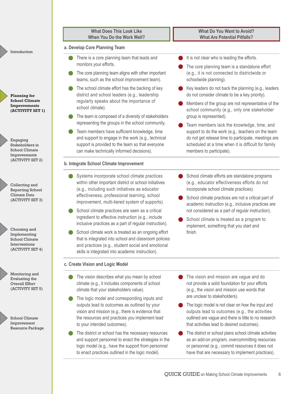| <b>What Does This Look Like</b>                                                                                                                                                                                                                                                                                                                                                                                                                                                                                                                                                                                                                      | <b>What Do You Want to Avoid?</b>                                                                                                                                                                                                                                                                                                                                                                              |
|------------------------------------------------------------------------------------------------------------------------------------------------------------------------------------------------------------------------------------------------------------------------------------------------------------------------------------------------------------------------------------------------------------------------------------------------------------------------------------------------------------------------------------------------------------------------------------------------------------------------------------------------------|----------------------------------------------------------------------------------------------------------------------------------------------------------------------------------------------------------------------------------------------------------------------------------------------------------------------------------------------------------------------------------------------------------------|
| When You Do the Work Well?                                                                                                                                                                                                                                                                                                                                                                                                                                                                                                                                                                                                                           | <b>What Are Potential Pitfalls?</b>                                                                                                                                                                                                                                                                                                                                                                            |
| a. Develop Core Planning Team                                                                                                                                                                                                                                                                                                                                                                                                                                                                                                                                                                                                                        |                                                                                                                                                                                                                                                                                                                                                                                                                |
| There is a core planning team that leads and                                                                                                                                                                                                                                                                                                                                                                                                                                                                                                                                                                                                         | It is not clear who is leading the efforts.                                                                                                                                                                                                                                                                                                                                                                    |
| monitors your efforts.                                                                                                                                                                                                                                                                                                                                                                                                                                                                                                                                                                                                                               | The core planning team is a standalone effort                                                                                                                                                                                                                                                                                                                                                                  |
| The core planning team aligns with other important                                                                                                                                                                                                                                                                                                                                                                                                                                                                                                                                                                                                   | (e.g., it is not connected to districtwide or                                                                                                                                                                                                                                                                                                                                                                  |
| teams, such as the school improvement team).                                                                                                                                                                                                                                                                                                                                                                                                                                                                                                                                                                                                         | schoolwide planning).                                                                                                                                                                                                                                                                                                                                                                                          |
| The school climate effort has the backing of key                                                                                                                                                                                                                                                                                                                                                                                                                                                                                                                                                                                                     | Key leaders do not back the planning (e.g., leaders                                                                                                                                                                                                                                                                                                                                                            |
| district and school leaders (e.g., leadership                                                                                                                                                                                                                                                                                                                                                                                                                                                                                                                                                                                                        | do not consider climate to be a key priority).                                                                                                                                                                                                                                                                                                                                                                 |
| regularly speaks about the importance of                                                                                                                                                                                                                                                                                                                                                                                                                                                                                                                                                                                                             | Members of the group are not representative of the                                                                                                                                                                                                                                                                                                                                                             |
| school climate).                                                                                                                                                                                                                                                                                                                                                                                                                                                                                                                                                                                                                                     | school community (e.g., only one stakeholder                                                                                                                                                                                                                                                                                                                                                                   |
| The team is composed of a diversity of stakeholders                                                                                                                                                                                                                                                                                                                                                                                                                                                                                                                                                                                                  | group is represented).                                                                                                                                                                                                                                                                                                                                                                                         |
| representing the groups in the school community.                                                                                                                                                                                                                                                                                                                                                                                                                                                                                                                                                                                                     | Team members lack the knowledge, time, and                                                                                                                                                                                                                                                                                                                                                                     |
| Team members have sufficient knowledge, time                                                                                                                                                                                                                                                                                                                                                                                                                                                                                                                                                                                                         | support to do the work (e.g., teachers on the team                                                                                                                                                                                                                                                                                                                                                             |
| and support to engage in the work (e.g., technical                                                                                                                                                                                                                                                                                                                                                                                                                                                                                                                                                                                                   | do not get release time to participate, meetings are                                                                                                                                                                                                                                                                                                                                                           |
| support is provided to the team so that everyone                                                                                                                                                                                                                                                                                                                                                                                                                                                                                                                                                                                                     | scheduled at a time when it is difficult for family                                                                                                                                                                                                                                                                                                                                                            |
| can make technically informed decisions).                                                                                                                                                                                                                                                                                                                                                                                                                                                                                                                                                                                                            | members to participate).                                                                                                                                                                                                                                                                                                                                                                                       |
| b. Integrate School Climate Improvement                                                                                                                                                                                                                                                                                                                                                                                                                                                                                                                                                                                                              |                                                                                                                                                                                                                                                                                                                                                                                                                |
| Systems incorporate school climate practices<br>within other important district or school initiatives<br>(e.g., including such initiatives as educator<br>effectiveness, professional learning, school<br>improvement, multi-tiered system of supports).<br>School climate practices are seen as a critical<br>ingredient to effective instruction (e.g., include<br>inclusive practices as a part of regular instruction).<br>School climate work is treated as an ongoing effort<br>that is integrated into school and classroom policies<br>and practices (e.g., student social and emotional<br>skills is integrated into academic instruction). | School climate efforts are standalone programs<br>(e.g., educator effectiveness efforts do not<br>incorporate school climate practices).<br>School climate practices are not a critical part of<br>academic instruction (e.g., inclusive practices are<br>not considered as a part of regular instruction).<br>School climate is treated as a program to<br>implement, something that you start and<br>finish. |
| c. Create Vision and Logic Model                                                                                                                                                                                                                                                                                                                                                                                                                                                                                                                                                                                                                     |                                                                                                                                                                                                                                                                                                                                                                                                                |
| The vision describes what you mean by school                                                                                                                                                                                                                                                                                                                                                                                                                                                                                                                                                                                                         | The vision and mission are vague and do                                                                                                                                                                                                                                                                                                                                                                        |
| climate (e.g., it includes components of school                                                                                                                                                                                                                                                                                                                                                                                                                                                                                                                                                                                                      | not provide a solid foundation for your efforts                                                                                                                                                                                                                                                                                                                                                                |
| climate that your stakeholders value).                                                                                                                                                                                                                                                                                                                                                                                                                                                                                                                                                                                                               | (e.g., the vision and mission use words that                                                                                                                                                                                                                                                                                                                                                                   |
| The logic model and corresponding inputs and                                                                                                                                                                                                                                                                                                                                                                                                                                                                                                                                                                                                         | are unclear to stakeholders).                                                                                                                                                                                                                                                                                                                                                                                  |
| outputs lead to outcomes as outlined by your                                                                                                                                                                                                                                                                                                                                                                                                                                                                                                                                                                                                         | The logic model is not clear on how the input and                                                                                                                                                                                                                                                                                                                                                              |
| vision and mission (e.g., there is evidence that                                                                                                                                                                                                                                                                                                                                                                                                                                                                                                                                                                                                     | outputs lead to outcomes (e.g., the activities                                                                                                                                                                                                                                                                                                                                                                 |
| the resources and practices you implement lead                                                                                                                                                                                                                                                                                                                                                                                                                                                                                                                                                                                                       | outlined are vague and there is little to no research                                                                                                                                                                                                                                                                                                                                                          |
| to your intended outcomes).                                                                                                                                                                                                                                                                                                                                                                                                                                                                                                                                                                                                                          | that activities lead to desired outcomes).                                                                                                                                                                                                                                                                                                                                                                     |
| The district or school has the necessary resources                                                                                                                                                                                                                                                                                                                                                                                                                                                                                                                                                                                                   | The district or school plans school climate activities                                                                                                                                                                                                                                                                                                                                                         |
| and support personnel to enact the strategies in the                                                                                                                                                                                                                                                                                                                                                                                                                                                                                                                                                                                                 | as an add-on program, overcommitting resources                                                                                                                                                                                                                                                                                                                                                                 |
| logic model (e.g., have the support from personnel                                                                                                                                                                                                                                                                                                                                                                                                                                                                                                                                                                                                   | or personnel (e.g., commit resources it does not                                                                                                                                                                                                                                                                                                                                                               |
| to enact practices outlined in the logic model).                                                                                                                                                                                                                                                                                                                                                                                                                                                                                                                                                                                                     | have that are necessary to implement practices).                                                                                                                                                                                                                                                                                                                                                               |

**Planning for School Climate Improvements (ACTIVITY SET 1)**

Introduction

Engaging Stakeholders in School Climate Improvements (ACTIVITY SET

Collecting and Reporting Scho Climate Data (ACTIVITY SET

Choosing and Implementing School Climate Interventions (ACTIVITY SET

Monitoring and Evaluating the Overall Effort (ACTIVITY SET

> School Climate Improvement Resource Packa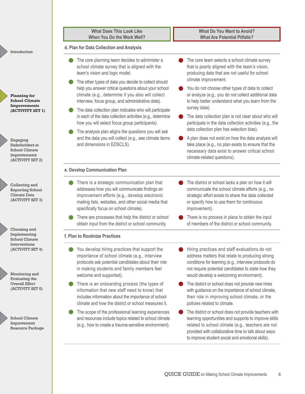|                                                                                   | <b>What Does This Look Like</b><br>When You Do the Work Well?                                                                                                                                                                                     | <b>What Do You Want to Avoid?</b><br><b>What Are Potential Pitfalls?</b>                                                                                                                                                                                                       |
|-----------------------------------------------------------------------------------|---------------------------------------------------------------------------------------------------------------------------------------------------------------------------------------------------------------------------------------------------|--------------------------------------------------------------------------------------------------------------------------------------------------------------------------------------------------------------------------------------------------------------------------------|
| Introduction                                                                      | d. Plan for Data Collection and Analysis                                                                                                                                                                                                          |                                                                                                                                                                                                                                                                                |
|                                                                                   | The core planning team decides to administer a<br>school climate survey that is aligned with the<br>team's vision and logic model.                                                                                                                | The core team selects a school climate survey<br>that is poorly aligned with the team's vision,<br>producing data that are not useful for school                                                                                                                               |
| <b>Planning for</b><br><b>School Climate</b><br>Improvements                      | The other types of data you decide to collect should<br>help you answer critical questions about your school<br>climate (e.g., determine if you also will collect<br>interview, focus group, and administrative data).                            | climate improvement.<br>You do not choose other types of data to collect<br>or analyze (e.g., you do not collect additional data<br>to help better understand what you learn from the                                                                                          |
| (ACTIVITY SET 1)                                                                  | The data collection plan indicates who will participate<br>in each of the data collection activities (e.g., determine<br>how you will select focus group participants).                                                                           | survey data).<br>The data collection plan is not clear about who will<br>participate in the data collection activities (e.g., the                                                                                                                                              |
| Engaging<br>Stakeholders in<br>School Climate<br>Improvements<br>(ACTIVITY SET 2) | The analysis plan aligns the questions you will ask<br>and the data you will collect (e.g., see climate items<br>and dimensions in EDSCLS).                                                                                                       | data collection plan has selection bias).<br>A plan does not exist on how the data analysis will<br>take place (e.g., no plan exists to ensure that the<br>necessary data exist to answer critical school<br>climate-related questions).                                       |
|                                                                                   | e. Develop Communication Plan                                                                                                                                                                                                                     |                                                                                                                                                                                                                                                                                |
| Collecting and<br>Reporting School<br>Climate Data<br>(ACTIVITY SET 3)            | There is a strategic communication plan that<br>addresses how you will communicate findings an<br>improvement efforts (e.g., develop electronic<br>mailing lists, websites, and other social media that<br>specifically focus on school climate). | The district or school lacks a plan on how it will<br>communicate the school climate efforts (e.g., no<br>strategic effort exists to share the data collected<br>or specify how to use them for continuous<br>improvement).                                                    |
|                                                                                   | There are processes that help the district or school<br>obtain input from the district or school community.                                                                                                                                       | There is no process in place to obtain the input<br>of members of the district or school community.                                                                                                                                                                            |
| Choosing and<br>Implementing<br><b>School Climate</b>                             | f. Plan to Routinize Practices                                                                                                                                                                                                                    |                                                                                                                                                                                                                                                                                |
| Interventions<br>(ACTIVITY SET 4)<br>Monitoring and                               | You develop hiring practices that support the<br>importance of school climate (e.g., interview<br>protocols ask potential candidates about their role<br>in making students and family members feel<br>welcome and supported).                    | Hiring practices and staff evaluations do not<br>address matters that relate to producing strong<br>conditions for learning (e.g., interview protocols do<br>not require potential candidates to state how they<br>would develop a welcoming environment).                     |
| Evaluating the<br>Overall Effort<br>(ACTIVITY SET 5)                              | There is an onboarding process (the types of<br>information that new staff need to know) that<br>includes information about the importance of school<br>climate and how the district or school measures it.                                       | The district or school does not provide new hires<br>with guidance on the importance of school climate,<br>their role in improving school climate, or the<br>policies related to climate.                                                                                      |
| School Climate<br>Improvement<br>Resource Package                                 | The scope of the professional learning experiences<br>and resources include topics related to school climate<br>(e.g., how to create a trauma-sensitive environment).                                                                             | The district or school does not provide teachers with<br>learning opportunities and supports to improve skills<br>related to school climate (e.g., teachers are not<br>provided with collaborative time to talk about ways<br>to improve student social and emotional skills). |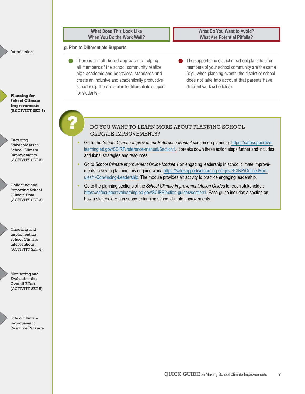| g. Plan to Differentiate Supports                                                                                                                                                                                                                                       |                                                                                                                                                                                                                                          |
|-------------------------------------------------------------------------------------------------------------------------------------------------------------------------------------------------------------------------------------------------------------------------|------------------------------------------------------------------------------------------------------------------------------------------------------------------------------------------------------------------------------------------|
| There is a multi-tiered approach to helping<br>all members of the school community realize<br>high academic and behavioral standards and<br>create an inclusive and academically productive<br>school (e.g., there is a plan to differentiate support<br>for students). | The supports the district or school plans to offer<br>members of your school community are the same<br>(e.g., when planning events, the district or school<br>does not take into account that parents have<br>different work schedules). |
|                                                                                                                                                                                                                                                                         |                                                                                                                                                                                                                                          |

Engaging Stakeholders in School Climate Improvements (ACTIVITY SET 2)

Introduction

**Planning for School Climate Improvements (ACTIVITY SET 1)**

Collecting and Reporting School Climate Data (ACTIVITY SET 3)

Choosing and Implementing School Climate Interventions (ACTIVITY SET 4)



Monitoring and Evaluating the Overall Effort (ACTIVITY SET 5)

School Climate Improvement Resource Package

#### DO YOU WANT TO LEARN MORE ABOUT PLANNING SCHOOL CLIMATE IMPROVEMENTS?

- [learning.ed.gov/SCIRP/reference-manual/Section1](https://safesupportivelearning.ed.gov/SCIRP/reference-manual/Section1). It breaks down these action steps further and includes • Go to the *School Climate Improvement Reference Manual* section on planning: [https://safesupportive](https://safesupportivelearning.ed.gov/SCIRP/reference-manual/Section1) additional strategies and resources.
- Go to *School Climate Improvement Online Module 1* on engaging leadership in school climate improvements, a key to planning this ongoing work: [https://safesupportivelearning.ed.gov/SCIRP/Online-Mod](https://safesupportivelearning.ed.gov/SCIRP/Online-Modules/1-Convincing-Leadership) [ules/1-Convincing-Leadership.](https://safesupportivelearning.ed.gov/SCIRP/Online-Modules/1-Convincing-Leadership) The module provides an activity to practice engaging leadership.
- Go to the planning sections of the *School Climate Improvement Action Guides* for each stakeholder: [https://safesupportivelearning.ed.gov/SCIRP/action-guides/section1.](https://safesupportivelearning.ed.gov/SCIRP/action-guides/section1) Each guide includes a section on how a stakeholder can support planning school climate improvements.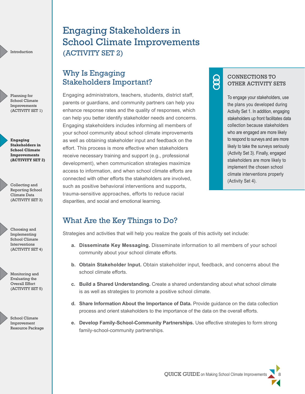Planning for School Climate Improvements (ACTIVITY SET 1)

**Engaging Stakeholders in School Climate Improvements (ACTIVITY SET 2)**

Collecting and Reporting School Climate Data (ACTIVITY SET 3)

Choosing and Implementing School Climate Interventions (ACTIVITY SET 4)

Monitoring and Evaluating the Overall Effort (ACTIVITY SET 5)



# <span id="page-10-0"></span>Engaging Stakeholders in School Climate Improvements (ACTIVITY SET 2)

### Why Is Engaging Stakeholders Important?

Engaging administrators, teachers, students, district staff, parents or guardians, and community partners can help you enhance response rates and the quality of responses, which can help you better identify stakeholder needs and concerns. Engaging stakeholders includes informing all members of your school community about school climate improvements as well as obtaining stakeholder input and feedback on the effort. This process is more effective when stakeholders receive necessary training and support (e.g., professional development), when communication strategies maximize access to information, and when school climate efforts are connected with other efforts the stakeholders are involved, such as positive behavioral interventions and supports, trauma-sensitive approaches, efforts to reduce racial disparities, and social and emotional learning.

# ළි

CONNECTIONS TO OTHER ACTIVITY SETS

To engage your stakeholders, use the plans you developed during Activity Set 1. In addition, engaging stakeholders up front facilitates data collection because stakeholders who are engaged are more likely to respond to surveys and are more likely to take the surveys seriously (Activity Set 3). Finally, engaged stakeholders are more likely to implement the chosen school climate interventions properly (Activity Set 4).

### What Are the Key Things to Do?

Strategies and activities that will help you realize the goals of this activity set include:

- **a. Disseminate Key Messaging.** Disseminate information to all members of your school community about your school climate efforts.
- **b. Obtain Stakeholder Input.** Obtain stakeholder input, feedback, and concerns about the school climate efforts.
- **c. Build a Shared Understanding.** Create a shared understanding about what school climate is as well as strategies to promote a positive school climate.
- **d. Share Information About the Importance of Data.** Provide guidance on the data collection process and orient stakeholders to the importance of the data on the overall efforts.
- **e. Develop Family-School-Community Partnerships.** Use effective strategies to form strong family-school-community partnerships.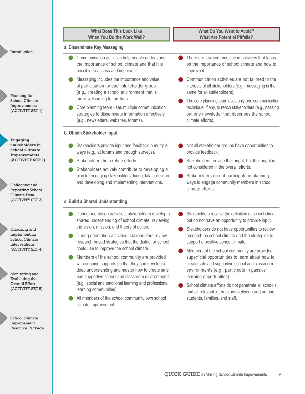|                                                                                           | <b>What Does This Look Like</b><br>When You Do the Work Well?                                                                                                                                            | <b>What Do You Want to Avoid?</b><br><b>What Are Potential Pitfalls?</b>                                                                                                           |
|-------------------------------------------------------------------------------------------|----------------------------------------------------------------------------------------------------------------------------------------------------------------------------------------------------------|------------------------------------------------------------------------------------------------------------------------------------------------------------------------------------|
| Introduction                                                                              | a. Disseminate Key Messaging                                                                                                                                                                             |                                                                                                                                                                                    |
|                                                                                           | Communication activities help people understand<br>the importance of school climate and that it is<br>possible to assess and improve it.                                                                 | There are few communication activities that focus<br>on the importance of school climate and how to<br>improve it.                                                                 |
| Planning for                                                                              | Messaging includes the importance and value<br>of participation for each stakeholder group<br>(e.g., creating a school environment that is                                                               | Communication activities are not tailored to the<br>interests of all stakeholders (e.g., messaging is the<br>same for all stakeholders).                                           |
| School Climate<br>Improvements<br>(ACTIVITY SET 1)                                        | more welcoming to families).<br>Core planning team uses multiple communication<br>strategies to disseminate information effectively<br>(e.g., newsletters, websites, forums).                            | The core planning team uses only one communication<br>technique, if any, to reach stakeholders (e.g., passing<br>out one newsletter that describes the school<br>climate efforts). |
|                                                                                           | b. Obtain Stakeholder Input                                                                                                                                                                              |                                                                                                                                                                                    |
| <b>Engaging</b><br><b>Stakeholders in</b><br><b>School Climate</b><br><b>Improvements</b> | Stakeholders provide input and feedback in multiple<br>ways (e.g., at forums and through surveys).                                                                                                       | Not all stakeholder groups have opportunities to<br>provide feedback.                                                                                                              |
| (ACTIVITY SET 2)                                                                          | Stakeholders help refine efforts.<br>Stakeholders actively contribute to developing a                                                                                                                    | Stakeholders provide their input, but their input is<br>not considered in the overall efforts.                                                                                     |
| Collecting and<br>Reporting School                                                        | plan for engaging stakeholders during data collection<br>and developing and implementing interventions.                                                                                                  | Stakeholders do not participate in planning<br>ways to engage community members in school<br>climate efforts.                                                                      |
| Climate Data<br>(ACTIVITY SET 3)                                                          | c. Build a Shared Understanding                                                                                                                                                                          |                                                                                                                                                                                    |
|                                                                                           | During orientation activities, stakeholders develop a<br>shared understanding of school climate, reviewing                                                                                               | Stakeholders receive the definition of school climat<br>but do not have an opportunity to provide input.                                                                           |
| Choosing and<br>Implementing<br>School Climate<br>Interventions                           | the vision, mission, and theory of action.<br>During orientation activities, stakeholders review<br>research-based strategies that the district or school                                                | Stakeholders do not have opportunities to review<br>research on school climate and the strategies to<br>support a positive school climate.                                         |
| (ACTIVITY SET 4)                                                                          | could use to improve the school climate.                                                                                                                                                                 | Members of the school community are provided                                                                                                                                       |
| Monitoring and<br>Evaluating the                                                          | Members of the school community are provided<br>with ongoing supports so that they can develop a<br>deep understanding and master how to create safe<br>and supportive school and classroom environments | superficial opportunities to learn about how to<br>create safe and supportive school and classroom<br>environments (e.g., participate in passive<br>learning opportunities).       |
| Overall Effort<br>(ACTIVITY SET 5)                                                        | (e.g., social and emotional learning and professional<br>learning communities).<br>All members of the school community own school                                                                        | School climate efforts do not penetrate all schools<br>and all relevant interactions between and among<br>students, families, and staff.                                           |
|                                                                                           | climate improvement.                                                                                                                                                                                     |                                                                                                                                                                                    |

School Climate Improvement Resource Package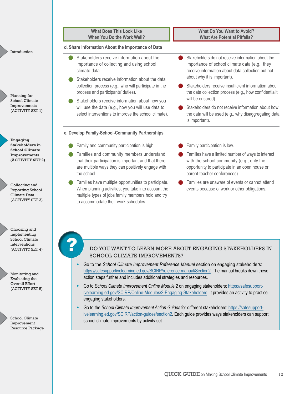|                                                                                                                                                                                                                                                                                                                | <b>What Does This Look Like</b>                                                                                                                                                                                                                                          | <b>What Do You Want to Avoid?</b>                                                                                                                                                                       |  |
|----------------------------------------------------------------------------------------------------------------------------------------------------------------------------------------------------------------------------------------------------------------------------------------------------------------|--------------------------------------------------------------------------------------------------------------------------------------------------------------------------------------------------------------------------------------------------------------------------|---------------------------------------------------------------------------------------------------------------------------------------------------------------------------------------------------------|--|
|                                                                                                                                                                                                                                                                                                                | When You Do the Work Well?                                                                                                                                                                                                                                               | <b>What Are Potential Pitfalls?</b>                                                                                                                                                                     |  |
| Introduction                                                                                                                                                                                                                                                                                                   | d. Share Information About the Importance of Data                                                                                                                                                                                                                        |                                                                                                                                                                                                         |  |
|                                                                                                                                                                                                                                                                                                                | Stakeholders receive information about the<br>importance of collecting and using school<br>climate data.<br>Stakeholders receive information about the data                                                                                                              | Stakeholders do not receive information about the<br>importance of school climate data (e.g., they<br>receive information about data collection but not<br>about why it is important).                  |  |
| Planning for<br>School Climate                                                                                                                                                                                                                                                                                 | collection process (e.g., who will participate in the<br>process and participants' duties).<br>Stakeholders receive information about how you                                                                                                                            | Stakeholders receive insufficient information abou<br>the data collection process (e.g., how confidentialit<br>will be ensured).                                                                        |  |
| Improvements<br>(ACTIVITY SET 1)                                                                                                                                                                                                                                                                               | will use the data (e.g., how you will use data to<br>select interventions to improve the school climate).                                                                                                                                                                | Stakeholders do not receive information about how<br>the data will be used (e.g., why disaggregating data<br>is important).                                                                             |  |
|                                                                                                                                                                                                                                                                                                                | e. Develop Family-School-Community Partnerships                                                                                                                                                                                                                          |                                                                                                                                                                                                         |  |
| <b>Engaging</b><br><b>Stakeholders in</b>                                                                                                                                                                                                                                                                      | Family and community participation is high.                                                                                                                                                                                                                              | Family participation is low.                                                                                                                                                                            |  |
| <b>School Climate</b><br><b>Improvements</b><br>(ACTIVITY SET 2)                                                                                                                                                                                                                                               | Families and community members understand<br>that their participation is important and that there<br>are multiple ways they can positively engage with<br>the school.                                                                                                    | Families have a limited number of ways to interact<br>with the school community (e.g., only the<br>opportunity to participate in an open house or<br>parent-teacher conferences).                       |  |
| Collecting and<br>Reporting School<br>Climate Data<br>(ACTIVITY SET 3)                                                                                                                                                                                                                                         | Families have multiple opportunities to participate.<br>When planning activities, you take into account the<br>multiple types of jobs family members hold and try<br>to accommodate their work schedules.                                                                | Families are unaware of events or cannot attend<br>events because of work or other obligations.                                                                                                         |  |
| Choosing and<br>Implementing<br><b>School Climate</b><br>Interventions<br>(ACTIVITY SET 4)                                                                                                                                                                                                                     | п                                                                                                                                                                                                                                                                        | DO YOU WANT TO LEARN MORE ABOUT ENGAGING STAKEHOLDERS IN                                                                                                                                                |  |
|                                                                                                                                                                                                                                                                                                                | <b>SCHOOL CLIMATE IMPROVEMENTS?</b>                                                                                                                                                                                                                                      |                                                                                                                                                                                                         |  |
| Monitoring and<br>Evaluating the                                                                                                                                                                                                                                                                               | Go to the School Climate Improvement Reference Manual section on engaging stakeholders:<br>https://safesupportivelearning.ed.gov/SCIRP/reference-manual/Section2. The manual breaks down these<br>action steps further and includes additional strategies and resources. |                                                                                                                                                                                                         |  |
| Overall Effort<br>(ACTIVITY SET 5)                                                                                                                                                                                                                                                                             | engaging stakeholders.                                                                                                                                                                                                                                                   | Go to School Climate Improvement Online Module 2 on engaging stakeholders: https://safesupport-<br>ivelearning.ed.gov/SCIRP/Online-Modules/2-Engaging-Stakeholders. It provides an activity to practice |  |
| Go to the School Climate Improvement Action Guides for different stakeholders: https://safesupport-<br>ivelearning.ed.gov/SCIRP/action-guides/section2. Each guide provides ways stakeholders can support<br>School Climate<br>school climate improvements by activity set.<br>Improvement<br>Resource Package |                                                                                                                                                                                                                                                                          |                                                                                                                                                                                                         |  |
|                                                                                                                                                                                                                                                                                                                |                                                                                                                                                                                                                                                                          |                                                                                                                                                                                                         |  |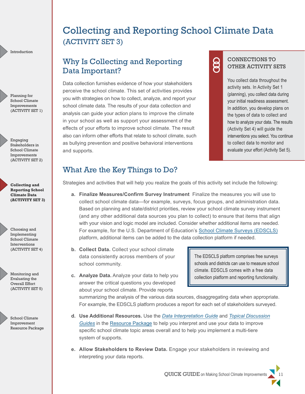Planning for School Climate Improvements (ACTIVITY SET 1)

Engaging Stakeholders in School Climate Improvements (ACTIVITY SET 2)

**Collecting and Reporting School Climate Data (ACTIVITY SET 3)**

Choosing and Implementing School Climate Interventions (ACTIVITY SET 4)

Monitoring and Evaluating the Overall Effort (ACTIVITY SET 5)

> School Climate Improvement Resource Package

# <span id="page-13-0"></span>Collecting and Reporting School Climate Data (ACTIVITY SET 3)

### Why Is Collecting and Reporting Data Important?

Data collection furnishes evidence of how your stakeholders perceive the school climate. This set of activities provides you with strategies on how to collect, analyze, and report your school climate data. The results of your data collection and analysis can guide your action plans to improve the climate in your school as well as support your assessment of the effects of your efforts to improve school climate. The result also can inform other efforts that relate to school climate, such as bullying prevention and positive behavioral interventions and supports.

# 8

CONNECTIONS TO OTHER ACTIVITY SETS

You collect data throughout the activity sets. In Activity Set 1 (planning), you collect data during your initial readiness assessment. In addition, you develop plans on the types of data to collect and how to analyze your data. The results (Activity Set 4) will guide the interventions you select. You continue to collect data to monitor and evaluate your effort (Activity Set 5).

### What Are the Key Things to Do?

Strategies and activities that will help you realize the goals of this activity set include the following:

- **a. Finalize Measures/Confirm Survey Instrument** Finalize the measures you will use to collect school climate data—for example, surveys, focus groups, and administration data. Based on planning and state/district priorities, review your school climate survey instrument (and any other additional data sources you plan to collect) to ensure that items that align with your vision and logic model are included. Consider whether additional items are needed. For example, for the U.S. Department of Education's [School Climate Surveys \(EDSCLS\)](https://safesupportivelearning.ed.gov/edscls) platform, additional items can be added to the data collection platform if needed.
- **b. Collect Data.** Collect your school climate data consistently across members of your school community.
- **c. Analyze Data.** Analyze your data to help you answer the critical questions you developed about your school climate. Provide reports

The EDSCLS platform comprises free surveys schools and districts can use to measure school climate. EDSCLS comes with a free data collection platform and reporting functionality.

summarizing the analysis of the various data sources, disaggregating data when appropriate. For example, the EDSCLS platform produces a report for each set of stakeholders surveyed.

- **d. Use Additional Resources.** Use the *[Data Interpretation Guide](https://safesupportivelearning.ed.gov/SCIRP/Data-Interpretation-Resources /data-interpretation-guide)* and *[Topical Discussion](https://safesupportivelearning.ed.gov/SCIRP/Data-Interpretation-Resources /discussion-guides) [Guides](https://safesupportivelearning.ed.gov/SCIRP/Data-Interpretation-Resources /discussion-guides)* in the [Resource Package](https://safesupportivelearning.ed.gov/school-climate-improvement-resource-package) to help you interpret and use your data to improve specific school climate topic areas overall and to help you implement a multi-tiere system of supports.
- **e. Allow Stakeholders to Review Data.** Engage your stakeholders in reviewing and interpreting your data reports.

QUICK GUIDE on Making School Climate Improvements 11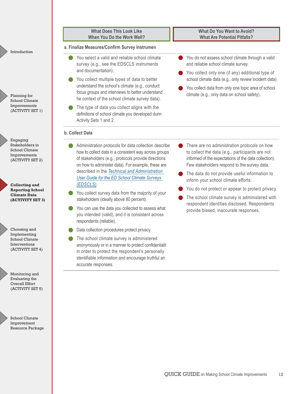Planning for School Climate Improvements (ACTIVITY SET 1)

Engaging Stakeholders in School Climate Improvements (ACTIVITY SET 2)

**Collecting and Reporting School Climate Data (ACTIVITY SET 3)**



Monitoring and Evaluating the Overall Effort (ACTIVITY SET 5)

(ACTIVITY SET 4)



School Climate Improvement Resource Package

#### **What Does This Look Like When You Do the Work Well?**

#### **a. Finalize Measures/Confirm Survey Instrumen**

- You select a valid and reliable school climate survey (e.g., see the EDSCLS instruments and documentation).
- You collect multiple types of data to better understand the school's climate (e.g., conduct focus groups and interviews to better understand he context of the school climate survey data).
- The type of data you collect aligns with the definitions of school climate you developed durin Activity Sets 1 and 2.

#### **b. Collect Data**

- Administration protocols for data collection describe how to collect data in a consistent way across groups of stakeholders (e.g., protocols provide directions on how to administer data). For example, these are described in the *[Technical and Administration](https://safesupportivelearning.ed.gov/sites/default/files/EDSCLS%20UserGuide%2002232016_update.pdf) [User Guide for the ED School Climate Surveys](https://safesupportivelearning.ed.gov/sites/default/files/EDSCLS%20UserGuide%2002232016_update.pdf) [\(EDSCLS\)](https://safesupportivelearning.ed.gov/sites/default/files/EDSCLS%20UserGuide%2002232016_update.pdf)*.
- You collect survey data from the majority of your stakeholders (ideally above 80 percent).
- You can use the data you collected to assess what you intended (valid), and it is consistent across respondents (reliable).
- Data collection procedures protect privacy.
- The school climate survey is administered anonymously or in a manner to protect confidentialit in order to protect the respondent's personally identifiable information and encourage truthful an accurate responses.

#### **What Do You Want to Avoid? What Are Potential Pitfalls?**

- You do not assess school climate through a valid and reliable school climate survey.
- You collect only one (if any) additional type of school climate data (e.g., only review incident data).
- You collect data from only one topic area of school climate (e.g., only data on school safety).

- There are no administration protocols on how to collect the data (e.g., participants are not informed of the expectations of the data collection). Few stakeholders respond to the survey data.
- The data do not provide useful information to inform your school climate efforts.
- You do not protect or appear to protect privacy.
- The school climate survey is administered with respondent identities disclosed. Respondents provide biased, inaccurate responses.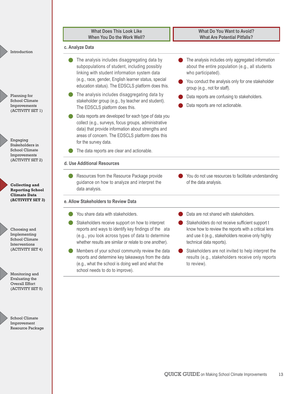|                                                                              | <b>What Does This Look Like</b><br>When You Do the Work Well?                                                                                                                                                                                              | <b>What Do You Want to Avoid?</b><br><b>What Are Potential Pitfalls?</b>                                                                                                                                        |
|------------------------------------------------------------------------------|------------------------------------------------------------------------------------------------------------------------------------------------------------------------------------------------------------------------------------------------------------|-----------------------------------------------------------------------------------------------------------------------------------------------------------------------------------------------------------------|
| Introduction                                                                 | c. Analyze Data                                                                                                                                                                                                                                            |                                                                                                                                                                                                                 |
|                                                                              | The analysis includes disaggregating data by<br>subpopulations of student, including possibly<br>linking with student information system data<br>(e.g., race, gender, English learner status, special<br>education status). The EDSCLS platform does this. | The analysis includes only aggregated information<br>about the entire population (e.g., all students<br>who participated).<br>You conduct the analysis only for one stakeholder<br>group (e.g., not for staff). |
| Planning for<br>School Climate<br>Improvements                               | The analysis includes disaggregating data by<br>stakeholder group (e.g., by teacher and student).<br>The EDSCLS platform does this.                                                                                                                        | Data reports are confusing to stakeholders.<br>Data reports are not actionable.                                                                                                                                 |
| (ACTIVITY SET 1)<br>Engaging                                                 | Data reports are developed for each type of data you<br>collect (e.g., surveys, focus groups, administrative<br>data) that provide information about strengths and<br>areas of concern. The EDSCLS platform does this<br>for the survey data.              |                                                                                                                                                                                                                 |
| Stakeholders in<br><b>School Climate</b><br>Improvements<br>(ACTIVITY SET 2) | The data reports are clear and actionable.<br>d. Use Additional Resources                                                                                                                                                                                  |                                                                                                                                                                                                                 |
| <b>Collecting and</b><br><b>Reporting School</b>                             | Resources from the Resource Package provide<br>guidance on how to analyze and interpret the<br>data analysis.                                                                                                                                              | You do not use resources to facilitate understanding<br>of the data analysis.                                                                                                                                   |
| <b>Climate Data</b><br>(ACTIVITY SET 3)                                      | e. Allow Stakeholders to Review Data                                                                                                                                                                                                                       |                                                                                                                                                                                                                 |
|                                                                              | You share data with stakeholders.                                                                                                                                                                                                                          | Data are not shared with stakeholders.                                                                                                                                                                          |
| Choosing and<br>Implementing<br><b>School Climate</b><br>Interventions       | Stakeholders receive support on how to interpret<br>reports and ways to identify key findings of the ata<br>(e.g., you look across types of data to determine<br>whether results are similar or relate to one another).                                    | Stakeholders do not receive sufficient support t<br>know how to review the reports with a critical lens<br>and use it (e.g., stakeholders receive only highly<br>technical data reports).                       |
| (ACTIVITY SET 4)                                                             | Members of your school community review the data<br>reports and determine key takeaways from the data<br>(e.g., what the school is doing well and what the<br>school needs to do to improve).                                                              | Stakeholders are not invited to help interpret the<br>results (e.g., stakeholders receive only reports<br>to review).                                                                                           |
| Monitoring and<br>Evaluating the<br>Overall Effort<br>(ACTIVITY SET 5)       |                                                                                                                                                                                                                                                            |                                                                                                                                                                                                                 |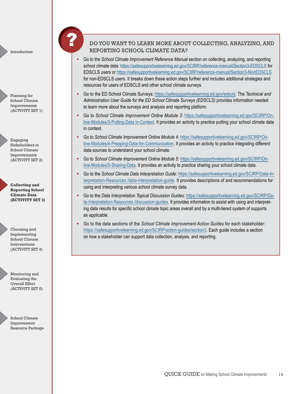Planning for School Climate Improvements (ACTIVITY SET 1)

Engaging Stakeholders in School Climate Improvements (ACTIVITY SET 2)

**Collecting and Reporting School Climate Data (ACTIVITY SET 3)**

Choosing and Implementing School Climate Interventions (ACTIVITY SET 4)

Monitoring and Evaluating the Overall Effort (ACTIVITY SET 5)

School Climate Improvement Resource Package

#### DO YOU WANT TO LEARN MORE ABOUT COLLECTING, ANALYZING, AND REPORTING SCHOOL CLIMATE DATA?

- Go to the *School Climate Improvement Reference Manual* section on collecting, analyzing, and reporting school climate data: <https://safesupportivelearning.ed.gov/SCIRP/reference-manual/Section3-EDSCLS> for EDSCLS users or<https://safesupportivelearning.ed.gov/SCIRP/reference-manual/Section3-NonEDSCLS> for non-EDSCLS users. It breaks down these action steps further and includes additional strategies and resources for users of EDSCLS and other school climate surveys.
- Go to the ED School Climate Surveys: [https://safesupportivelearning.ed.gov/edscls.](https://safesupportivelearning.ed.gov/edscls) The *Technical and Administration User Guide for the ED School Climate Surveys (EDSCLS)* provides information needed to learn more about the surveys and analysis and reporting platform.
- Go to *School Climate Improvement Online Module 3*[: https://safesupportivelearning.ed.gov/SCIRP/On](https://safesupportivelearning.ed.gov/SCIRP/Online-Modules/3-Putting-Data in-Context)[line-Modules/3-Putting-Data in-Context](https://safesupportivelearning.ed.gov/SCIRP/Online-Modules/3-Putting-Data in-Context). It provides an activity to practice putting your school climate data in context.
- Go to *School Climate Improvement Online Module 4*: [https://safesupportivelearning.ed.gov/SCIRP/On](https://safesupportivelearning.ed.gov/SCIRP/Online-Modules/4-Prepping-Data-for-Communication)[line-Modules/4-Prepping-Data-for-Communication.](https://safesupportivelearning.ed.gov/SCIRP/Online-Modules/4-Prepping-Data-for-Communication) It provides an activity to practice integrating different data sources to understand your school climate.
- Go to *School Climate Improvement Online Module 5*: [https://safesupportivelearning.ed.gov/SCIRP/On](https://safesupportivelearning.ed.gov/SCIRP/Online-Modules/5-Sharing-Data)[line-Modules/5-Sharing-Data](https://safesupportivelearning.ed.gov/SCIRP/Online-Modules/5-Sharing-Data). It provides an activity to practice sharing your school climate data.
- Go to the *School Climate Data Interpretation Guide*: [https://safesupportivelearning.ed.gov/SCIRP/Data-In](https://safesupportivelearning.ed.gov/SCIRP/Data-Interpretation-Resources /data-interpretation-guide)[terpretation-Resources /data-interpretation-guide.](https://safesupportivelearning.ed.gov/SCIRP/Data-Interpretation-Resources /data-interpretation-guide) It provides descriptions of and recommendations for using and interpreting various school climate survey data.
- Go to the *Data Interpretation Topical Discussion Guides*: [https://safesupportivelearning.ed.gov/SCIRP/Da](https://safesupportivelearning.ed.gov/SCIRP/Data-Interpretation-Resources /discussion-guides)[ta-Interpretation-Resources /discussion-guides](https://safesupportivelearning.ed.gov/SCIRP/Data-Interpretation-Resources /discussion-guides). It provides information to assist with using and interpreting data results for specific school climate topic areas overall and by a multi-tiered system of supports as applicable.
- Go to the data sections of the *School Climate Improvement Action Guides* for each stakeholder: [https://safesupportivelearning.ed.gov/SCIRP/action-guides/section3.](https://safesupportivelearning.ed.gov/SCIRP/action-guides/section3) Each guide includes a section on how a stakeholder can support data collection, analysis, and reporting.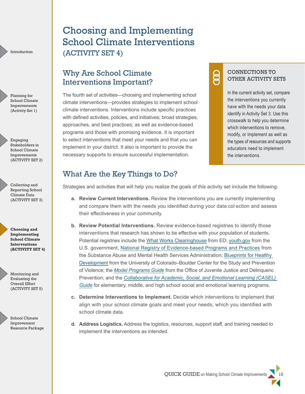Planning for School Climate Improvements (Activity Set 1)

Engaging Stakeholders in School Climate Improvements (ACTIVITY SET 2)

Collecting and Reporting School Climate Data (ACTIVITY SET 3)

**Choosing and Implementing School Climate Interventions (ACTIVITY SET 4)**

Monitoring and Evaluating the Overall Effort (ACTIVITY SET 5)



## <span id="page-17-0"></span>Choosing and Implementing School Climate Interventions (ACTIVITY SET 4)

### Why Are School Climate Interventions Important?

The fourth set of activities—choosing and implementing school climate interventions—provides strategies to implement school climate interventions. Interventions include specific practices with defined activities, policies, and initiatives; broad strategies, approaches, and best practices; as well as evidence-based programs and those with promising evidence. It is important to select interventions that meet your needs and that you can implement in your district. It also is important to provide the necessary supports to ensure successful implementation.

### CONNECTIONS TO OTHER ACTIVITY SETS

8

In the current activity set, compare the interventions you currently have with the needs your data identify in Activity Set 3. Use this crosswalk to help you determine which interventions to remove, modify, or implement as well as the types of resources and supports educators need to implement the interventions.

### What Are the Key Things to Do?

Strategies and activities that will help you realize the goals of this activity set include the following:

- **a. Review Current Interventions.** Review the interventions you are currently implementing and compare them with the needs you identified during your data col ection and assess their effectiveness in your community.
- **b. Review Potential Interventions.** Review evidence-based registries to identify those interventions that research has shown to be effective with your population of students. Potential registries include the [What Works Clearinghouse](http://ies.ed.gov/ncee/wwc/) from ED; [youth.gov](http://www.youth.gov/) from the U.S. government, [National Registry of Evidence-based Programs and Practices](http://nrepp.samhsa.gov/01_landing.aspx) from the Substance Abuse and Mental Health Services Administration; [Blueprints for Healthy](http://www.blueprintsprograms.com/) [Development](http://www.blueprintsprograms.com/) from the University of Colorado–Boulder Center for the Study and Prevention of Violence; the *[Model Programs Guide](http://www.ojjdp.gov/mpg/)* from the Office of Juvenile Justice and Delinquenc Prevention; and the *[Collaborative for Academic, Social, and Emotional Learning \(CASEL\)](http://www.casel.org/guide) [Guide](http://www.casel.org/guide)* for elementary, middle, and high school social and emotional learning programs.
- **c. Determine Interventions to Implement.** Decide which interventions to implement that align with your school climate goals and meet your needs, which you identified with school climate data.
- **d. Address Logistics.** Address the logistics, resources, support staff, and training needed to implement the interventions as intended.

QUICK GUIDE on Making School Climate Improvements 15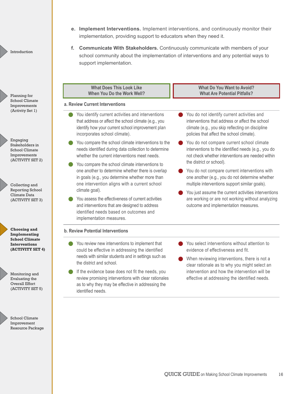- **e. Implement Interventions.** Implement interventions, and continuously monitor their implementation, providing support to educators when they need it.
- **f. Communicate With Stakeholders.** Continuously communicate with members of your school community about the implementation of interventions and any potential ways to support implementation.

Planning for School Climate Improvements (Activity Set 1)

Introduction

Engaging Stakeholders in School Climate Improvements (ACTIVITY SET 2)

Collecting and Reporting School Climate Data (ACTIVITY SET 3)

**Choosing and Implementing School Climate Interventions (ACTIVITY SET 4)**



School Climate Improvement Resource Package

| <b>What Does This Look Like</b><br>When You Do the Work Well?                                                                                                                                            |  | <b>What Do You Want to Avoid?</b><br><b>What Are Potential Pitfalls?</b>                                                                                                                       |  |
|----------------------------------------------------------------------------------------------------------------------------------------------------------------------------------------------------------|--|------------------------------------------------------------------------------------------------------------------------------------------------------------------------------------------------|--|
| a. Review Current Interventions                                                                                                                                                                          |  |                                                                                                                                                                                                |  |
| You identify current activities and interventions<br>that address or affect the school climate (e.g., you<br>identify how your current school improvement plan<br>incorporates school climate).          |  | You do not identify current activities and<br>interventions that address or affect the school<br>climate (e.g., you skip reflecting on discipline<br>policies that affect the school climate). |  |
| You compare the school climate interventions to the<br>needs identified during data collection to determine<br>whether the current interventions meet needs.                                             |  | You do not compare current school climate<br>interventions to the identified needs (e.g., you do<br>not check whether interventions are needed within                                          |  |
| You compare the school climate interventions to<br>one another to determine whether there is overlap<br>in goals (e.g., you determine whether more than<br>one intervention aligns with a current school |  | the district or school).<br>You do not compare current interventions with<br>one another (e.g., you do not determine whether<br>multiple interventions support similar goals).                 |  |
| climate goal).<br>You assess the effectiveness of current activities<br>and interventions that are designed to address<br>identified needs based on outcomes and<br>implementation measures.             |  | You just assume the current activities interventions<br>are working or are not working without analyzing<br>outcome and implementation measures.                                               |  |
| <b>b. Review Potential Interventions</b>                                                                                                                                                                 |  |                                                                                                                                                                                                |  |
| You review new interventions to implement that<br>could be effective in addressing the identified                                                                                                        |  | You select interventions without attention to<br>evidence of effectiveness and fit.                                                                                                            |  |
| needs with similar students and in settings such as<br>the district and school.                                                                                                                          |  | When reviewing interventions, there is not a<br>clear rationale as to why you might select an                                                                                                  |  |
| If the evidence base does not fit the needs, you<br>review promising interventions with clear rationales<br>as to why they may be effective in addressing the<br>identified needs.                       |  | intervention and how the intervention will be<br>effective at addressing the identified needs.                                                                                                 |  |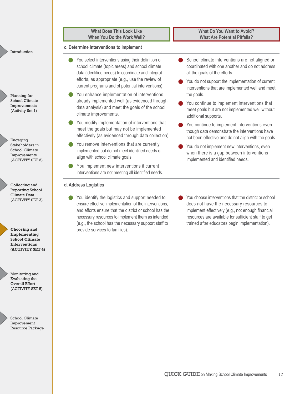Planning for School Climate Improvements (Activity Set 1)

Engaging Stakeholders in School Climate Improvements (ACTIVITY SET 2)

Collecting and Reporting School Climate Data (ACTIVITY SET 3)

**Choosing and Implementing School Climate Interventions (ACTIVITY SET 4)**

Monitoring and Evaluating the Overall Effort

> School Climate Improvement Resource Package

(ACTIVITY SET 5)

#### **What Does This Look Like When You Do the Work Well?**

#### **c. Determine Interventions to Implement**

- You select interventions using their definition o school climate (topic areas) and school climate data (identified needs) to coordinate and integrat efforts, as appropriate (e.g., use the review of current programs and of potential interventions).
- You enhance implementation of interventions already implemented well (as evidenced through data analysis) and meet the goals of the school climate improvements.
- You modify implementation of interventions that meet the goals but may not be implemented effectively (as evidenced through data collection).
- You remove interventions that are currently implemented but do not meet identified needs o align with school climate goals.
- You implement new interventions if current interventions are not meeting all identified needs.

#### **d. Address Logistics**

● You identify the logistics and support needed to ensure effective implementation of the interventions, and efforts ensure that the district or school has the necessary resources to implement them as intended (e.g., the school has the necessary support staff to provide services to families).

School climate interventions are not aligned or coordinated with one another and do not address all the goals of the efforts.

**What Do You Want to Avoid? What Are Potential Pitfalls?**

- You do not support the implementation of current interventions that are implemented well and meet the goals.
- You continue to implement interventions that meet goals but are not implemented well without additional supports.
- You continue to implement interventions even though data demonstrate the interventions have not been effective and do not align with the goals.
- You do not implement new interventions, even when there is a gap between interventions implemented and identified needs.
- You choose interventions that the district or school does not have the necessary resources to implement effectively (e.g., not enough financial resources are available for sufficient sta f to get trained after educators begin implementation).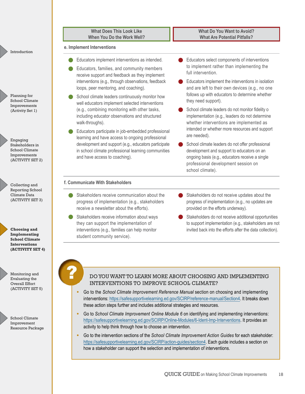| Introduction |
|--------------|
|              |
|              |

Planning for School Climate Improvements (Activity Set 1)

Engaging Stakeholders in School Climate Improvements (ACTIVITY SET 2)

Collecting and Reporting School Climate Data (ACTIVITY SET 3)

**Choosing and Implementing School Climate Interventions (ACTIVITY SET 4)**

Monitoring and Evaluating the Overall Effort (ACTIVITY SET 5)

School Climate Improvement Resource Package

**What Does This Look Like When You Do the Work Well?**

#### **e. Implement Interventions**

- Educators implement interventions as intended.
- Educators, families, and community members receive support and feedback as they implement interventions (e.g., through observations, feedback loops, peer mentoring, and coaching).
- School climate leaders continuously monitor how well educators implement selected interventions (e.g., combining monitoring with other tasks, including educator observations and structured walk-throughs).
- Educators participate in job-embedded professional learning and have access to ongoing professional development and support (e.g., educators participate in school climate professional learning communities and have access to coaching).

**What Do You Want to Avoid? What Are Potential Pitfalls?**

- Educators select components of interventions to implement rather than implementing the full intervention.
- Educators implement the interventions in isolation and are left to their own devices (e.g., no one follows up with educators to determine whether they need support).
- School climate leaders do not monitor fidelity o implementation (e.g., leaders do not determine whether interventions are implemented as intended or whether more resources and support are needed).
- School climate leaders do not offer professional development and support to educators on an ongoing basis (e.g., educators receive a single professional development session on school climate).

#### **f. Communicate With Stakeholders**

- Stakeholders receive communication about the progress of implementation (e.g., stakeholders receive a newsletter about the efforts).
- Stakeholders receive information about ways they can support the implementation of interventions (e.g., families can help monitor student community service).
- Stakeholders do not receive updates about the progress of implementation (e.g., no updates are provided on the efforts underway).
- Stakeholders do not receive additional opportunities to support implementation (e.g., stakeholders are not invited back into the efforts after the data collection).

#### DO YOU WANT TO LEARN MORE ABOUT CHOOSING AND IMPLEMENTING INTERVENTIONS TO IMPROVE SCHOOL CLIMATE?

- Go to the *School Climate Improvement Reference Manual* section on choosing and implementing interventions: [https://safesupportivelearning.ed.gov/SCIRP/reference-manual/Section4.](https://safesupportivelearning.ed.gov/SCIRP/reference-manual/Section4) It breaks down these action steps further and includes additional strategies and resources.
- Go to *School Climate Improvement Online Module 6* on identifying and implementing interventions: [https://safesupportivelearning.ed.gov/SCIRP/Online-Modules/6-Ident-Imp-Interventions.](https://safesupportivelearning.ed.gov/SCIRP/Online-Modules/6-Ident-Imp-Interventions) It provides an activity to help think through how to choose an intervention.
- Go to the intervention sections of the *School Climate Improvement Action Guides* for each stakeholder: <https://safesupportivelearning.ed.gov/SCIRP/action-guides/section4>. Each guide includes a section on how a stakeholder can support the selection and implementation of interventions.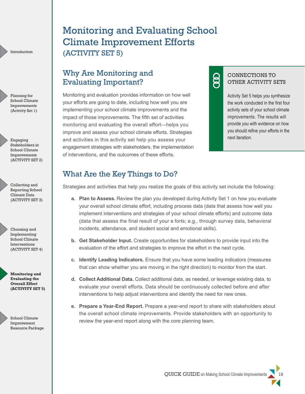Planning for School Climate Improvements (Activity Set 1)

Engaging Stakeholders in School Climate Improvements (ACTIVITY SET 2)

Collecting and Reporting School Climate Data (ACTIVITY SET 3)

Choosing and Implementing School Climate Interventions (ACTIVITY SET 4)

**Monitoring and Evaluating the Overall Effort (ACTIVITY SET 5)**

School Climate Improvement Resource Package

# <span id="page-21-0"></span>Monitoring and Evaluating School Climate Improvement Efforts (ACTIVITY SET 5)

### Why Are Monitoring and Evaluating Important?

Monitoring and evaluation provides information on how well your efforts are going to date, including how well you are implementing your school climate improvements and the impact of those improvements. The fifth set of activities monitoring and evaluating the overall effort—helps you improve and assess your school climate efforts. Strategies and activities in this activity set help you assess your engagement strategies with stakeholders, the implementation of interventions, and the outcomes of these efforts.

### CONNECTIONS TO OTHER ACTIVITY SETS

ළි

Activity Set 5 helps you synthesize the work conducted in the first four activity sets of your school climate improvements. The results will provide you with evidence on how you should refine your efforts in the next iteration.

### What Are the Key Things to Do?

Strategies and activities that help you realize the goals of this activity set include the following:

- **a. Plan to Assess.** Review the plan you developed during Activity Set 1 on how you evaluate your overall school climate effort, including process data (data that assess how well you implement interventions and strategies of your school climate efforts) and outcome data (data that assess the final result of your e forts; e.g., through survey data, behavioral incidents, attendance, and student social and emotional skills).
- **b. Get Stakeholder Input.** Create opportunities for stakeholders to provide input into the evaluation of the effort and strategies to improve the effort in the next cycle.
- **c. Identify Leading Indicators.** Ensure that you have some leading indicators (measures that can show whether you are moving in the right direction) to monitor from the start.
- **d. Collect Additional Data.** Collect additional data, as needed, or leverage existing data, to evaluate your overall efforts. Data should be continuously collected before and after interventions to help adjust interventions and identify the need for new ones.
- **e. Prepare a Year-End Report.** Prepare a year-end report to share with stakeholders about the overall school climate improvements. Provide stakeholders with an opportunity to review the year-end report along with the core planning team.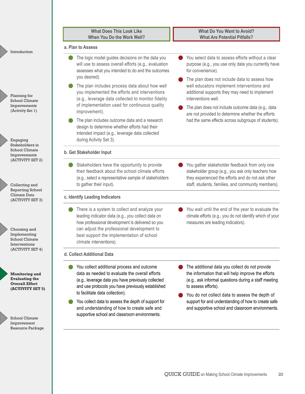|                                                                                             | <b>What Does This Look Like</b><br>When You Do the Work Well?                                                                                                                                           | <b>What Do You Want to Avoid?</b><br><b>What Are Potential Pitfalls?</b>                                                                                                            |
|---------------------------------------------------------------------------------------------|---------------------------------------------------------------------------------------------------------------------------------------------------------------------------------------------------------|-------------------------------------------------------------------------------------------------------------------------------------------------------------------------------------|
| Introduction                                                                                | a. Plan to Assess                                                                                                                                                                                       |                                                                                                                                                                                     |
|                                                                                             | The logic model guides decisions on the data you<br>will use to assess overall efforts (e.g., evaluation<br>assesses what you intended to do and the outcomes<br>you desired).                          | You select data to assess efforts without a clear<br>purpose (e.g., you use only data you currently have<br>for convenience).                                                       |
| Planning for<br><b>School Climate</b>                                                       | The plan includes process data about how well<br>you implemented the efforts and interventions<br>(e.g., leverage data collected to monitor fidelity<br>of implementation used for continuous quality   | The plan does not include data to assess how<br>well educators implement interventions and<br>additional supports they may need to implement<br>interventions well.                 |
| Improvements<br>(Activity Set 1)                                                            | improvement).                                                                                                                                                                                           | The plan does not include outcome data (e.g., data<br>are not provided to determine whether the efforts                                                                             |
| Engaging                                                                                    | The plan includes outcome data and a research<br>design to determine whether efforts had their<br>intended impact (e.g., leverage data collected<br>during Activity Set 3).                             | had the same effects across subgroups of students).                                                                                                                                 |
| Stakeholders in<br><b>School Climate</b><br>Improvements                                    | b. Get Stakeholder Input                                                                                                                                                                                |                                                                                                                                                                                     |
| (ACTIVITY SET 2)                                                                            | Stakeholders have the opportunity to provide<br>their feedback about the school climate efforts<br>(e.g., select a representative sample of stakeholders                                                | You gather stakeholder feedback from only one<br>stakeholder group (e.g., you ask only teachers how<br>they experienced the efforts and do not ask other                            |
| Collecting and<br><b>Reporting School</b><br>Climate Data<br>(ACTIVITY SET 3)               | to gather their input).<br>c. Identify Leading Indicators                                                                                                                                               | staff, students, families, and community members).                                                                                                                                  |
| Choosing and                                                                                | There is a system to collect and analyze your<br>leading indicator data (e.g., you collect data on<br>how professional development is delivered so you<br>can adjust the professional development to    | You wait until the end of the year to evaluate the<br>climate efforts (e.g., you do not identify which of your<br>measures are leading indicators).                                 |
| Implementing<br><b>School Climate</b><br>Interventions                                      | best support the implementation of school<br>climate interventions).                                                                                                                                    |                                                                                                                                                                                     |
| (ACTIVITY SET 4)                                                                            | d. Collect Additional Data                                                                                                                                                                              |                                                                                                                                                                                     |
| <b>Monitoring and</b><br><b>Evaluating the</b><br><b>Overall Effort</b><br>(ACTIVITY SET 5) | You collect additional process and outcome<br>data as needed to evaluate the overall efforts<br>(e.g., leverage data you have previously collected<br>and use protocols you have previously established | The additional data you collect do not provide<br>the information that will help improve the efforts<br>(e.g., ask informal questions during a staff meeting<br>to assess efforts). |
|                                                                                             | to facilitate data collection).<br>You collect data to assess the depth of support for                                                                                                                  | You do not collect data to assess the depth of<br>support for and understanding of how to create safe                                                                               |
|                                                                                             | and understanding of how to create safe and<br>supportive school and classroom environments.                                                                                                            | and supportive school and classroom environments.                                                                                                                                   |
| School Climate<br>Improvement<br>Resource Package                                           |                                                                                                                                                                                                         |                                                                                                                                                                                     |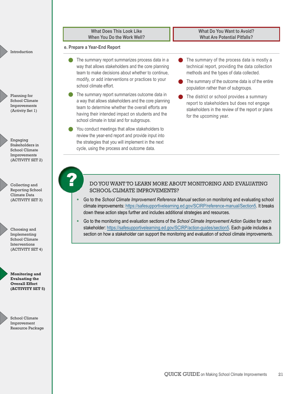Planning for School Climate Improvements (Activity Set 1)

Engaging Stakeholders in School Climate Improvements (ACTIVITY SET 2)

Collecting and Reporting School Climate Data (ACTIVITY SET 3)

Choosing and Implementing

School Climate Interventions (ACTIVITY SET 4)

**Monitoring and Evaluating the Overall Effort (ACTIVITY SET 5)**

School Climate Improvement Resource Package

**What Does This Look Like When You Do the Work Well?**

#### **e. Prepare a Year-End Report**

- The summary report summarizes process data in a way that allows stakeholders and the core planning team to make decisions about whether to continue, modify, or add interventions or practices to your school climate effort.
- The summary report summarizes outcome data in a way that allows stakeholders and the core planning team to determine whether the overall efforts are having their intended impact on students and the school climate in total and for subgroups.
- You conduct meetings that allow stakeholders to review the year-end report and provide input into the strategies that you will implement in the next cycle, using the process and outcome data.

The summary of the process data is mostly a technical report, providing the data collection methods and the types of data collected.

**What Do You Want to Avoid? What Are Potential Pitfalls?**

- **The summary of the outcome data is of the entire** population rather than of subgroups.
- The district or school provides a summary report to stakeholders but does not engage stakeholders in the review of the report or plans for the upcoming year.

#### DO YOU WANT TO LEARN MORE ABOUT MONITORING AND EVALUATING SCHOOL CLIMATE IMPROVEMENTS?

- Go to the *School Climate Improvement Reference Manual* section on monitoring and evaluating school climate improvements:<https://safesupportivelearning.ed.gov/SCIRP/reference-manual/Section5>. It breaks down these action steps further and includes additional strategies and resources.
- Go to the monitoring and evaluation sections of the *School Climate Improvement Action Guides* for each stakeholder: [https://safesupportivelearning.ed.gov/SCIRP/action-guides/section5.](https://safesupportivelearning.ed.gov/SCIRP/action-guides/section5) Each guide includes a section on how a stakeholder can support the monitoring and evaluation of school climate improvements.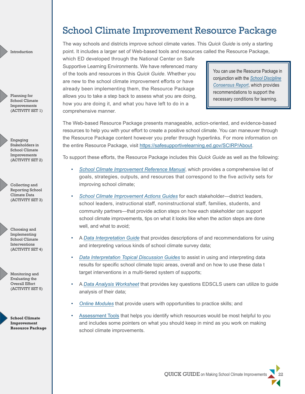Planning for School Climate Improvements (ACTIVITY SET 1)

Engaging Stakeholders in School Climate Improvements (ACTIVITY SET 2)

Collecting and Reporting School Climate Data (ACTIVITY SET 3)

Choosing and Implementing School Climate Interventions (ACTIVITY SET 4)

Monitoring and Evaluating the Overall Effort (ACTIVITY SET 5)



## <span id="page-24-0"></span>School Climate Improvement Resource Package

The way schools and districts improve school climate varies. This *Quick Guide* is only a starting point. It includes a larger set of Web-based tools and resources called the Resource Package,

which ED developed through the National Center on Safe Supportive Learning Environments. We have referenced many of the tools and resources in this *Quick Guide*. Whether you are new to the school climate improvement efforts or have already been implementing them, the Resource Package allows you to take a step back to assess what you are doing, how you are doing it, and what you have left to do in a comprehensive manner.

You can use the Resource Package in conjunction with the *[School Discipline](https://csgjusticecenter.org/wp-content/uploads/2014/06/The_School_Discipline_Consensus_Report.pdf) [Consensus Report](https://csgjusticecenter.org/wp-content/uploads/2014/06/The_School_Discipline_Consensus_Report.pdf)*, which provides recommendations to support the necessary conditions for learning.

The Web-based Resource Package presents manageable, action-oriented, and evidence-based resources to help you with your effort to create a positive school climate. You can maneuver through the Resource Package content however you prefer through hyperlinks. For more information on the entire Resource Package, visit <https://safesupportivelearning.ed.gov/SCIRP/About>.

To support these efforts, the Resource Package includes this *Quick Guide* as well as the following:

- *• [School Climate Improvement Reference Manual](https://safesupportivelearning.ed.gov/SCIRP/reference-manual)*, which provides a comprehensive list of goals, strategies, outputs, and resources that correspond to the five activity sets for improving school climate;
- *• [School Climate Improvement Actions Guides](https://safesupportivelearning.ed.gov/SCIRP/action-guides)* for each stakeholder—district leaders, school leaders, instructional staff, noninstructional staff, families, students, and community partners—that provide action steps on how each stakeholder can support school climate improvements, tips on what it looks like when the action steps are done well, and what to avoid;
- A *[Data Interpretation Guide](https://safesupportivelearning.ed.gov/SCIRP/Data-Interpretation-Resources /data-interpretation-guide)* that provides descriptions of and recommendations for using and interpreting various kinds of school climate survey data;
- *• [Data Interpretation Topical Discussion Guides](https://safesupportivelearning.ed.gov/SCIRP/Data-Interpretation-Resources /discussion-guides)* to assist in using and interpreting data results for specific school climate topic areas, overall and on how to use these data t target interventions in a multi-tiered system of supports;
- A *[Data Analysis Worksheet](https://safesupportivelearning.ed.gov/SCIRP/Data-Interpretation-Resources /data-analysis-worksheet)* that provides key questions EDSCLS users can utilize to guide analysis of their data;
- *• [Online Modules](https://safesupportivelearning.ed.gov/SCIRP/Online-Modules)* that provide users with opportunities to practice skills; and
- [Assessment Tools](https://safesupportivelearning.ed.gov/SCIRP/Assessments) that helps you identify which resources would be most helpful to you and includes some pointers on what you should keep in mind as you work on making school climate improvements.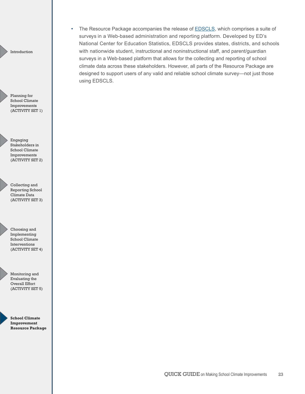• The Resource Package accompanies the release of **EDSCLS**, which comprises a suite of surveys in a Web-based administration and reporting platform. Developed by ED's National Center for Education Statistics, EDSCLS provides states, districts, and schools with nationwide student, instructional and noninstructional staff, and parent/guardian surveys in a Web-based platform that allows for the collecting and reporting of school climate data across these stakeholders. However, all parts of the Resource Package are designed to support users of any valid and reliable school climate survey—not just those using EDSCLS.

Introduction

Planning for School Climate Improvements (ACTIVITY SET 1)

Engaging Stakeholders in School Climate Improvements (ACTIVITY SET 2)

Collecting and Reporting School Climate Data (ACTIVITY SET 3)

Choosing and Implementing School Climate Interventions (ACTIVITY SET 4)



Monitoring and Evaluating the Overall Effort (ACTIVITY SET 5)

**School Climate Improvement Resource Package**